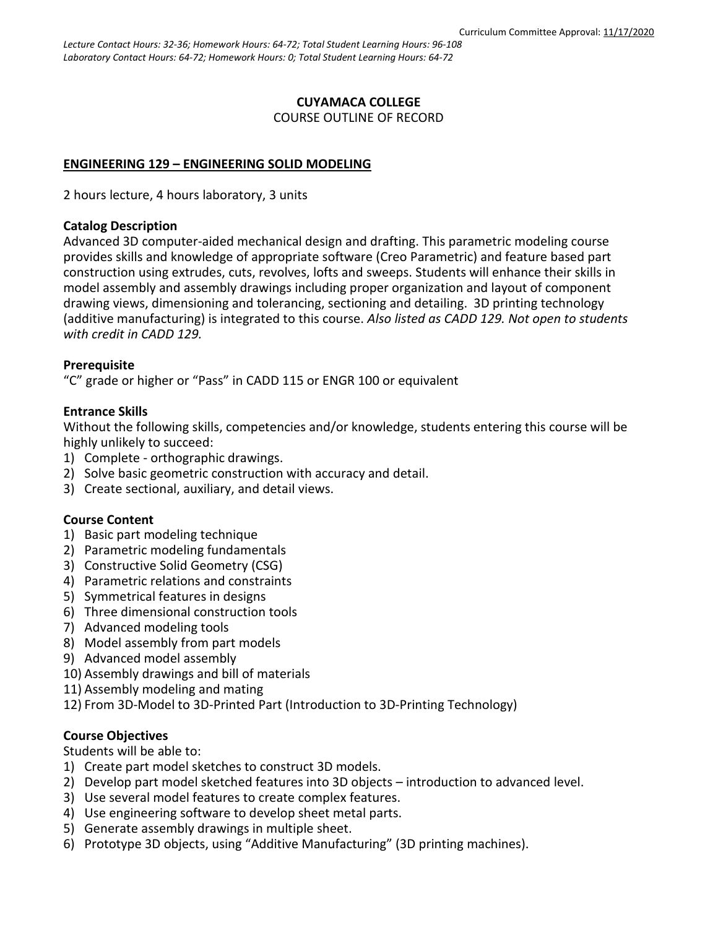## **CUYAMACA COLLEGE** COURSE OUTLINE OF RECORD

## **ENGINEERING 129 – ENGINEERING SOLID MODELING**

2 hours lecture, 4 hours laboratory, 3 units

#### **Catalog Description**

Advanced 3D computer-aided mechanical design and drafting. This parametric modeling course provides skills and knowledge of appropriate software (Creo Parametric) and feature based part construction using extrudes, cuts, revolves, lofts and sweeps. Students will enhance their skills in model assembly and assembly drawings including proper organization and layout of component drawing views, dimensioning and tolerancing, sectioning and detailing. 3D printing technology (additive manufacturing) is integrated to this course. *Also listed as CADD 129. Not open to students with credit in CADD 129.*

## **Prerequisite**

"C" grade or higher or "Pass" in CADD 115 or ENGR 100 or equivalent

## **Entrance Skills**

Without the following skills, competencies and/or knowledge, students entering this course will be highly unlikely to succeed:

- 1) Complete orthographic drawings.
- 2) Solve basic geometric construction with accuracy and detail.
- 3) Create sectional, auxiliary, and detail views.

## **Course Content**

- 1) Basic part modeling technique
- 2) Parametric modeling fundamentals
- 3) Constructive Solid Geometry (CSG)
- 4) Parametric relations and constraints
- 5) Symmetrical features in designs
- 6) Three dimensional construction tools
- 7) Advanced modeling tools
- 8) Model assembly from part models
- 9) Advanced model assembly
- 10) Assembly drawings and bill of materials
- 11) Assembly modeling and mating
- 12) From 3D-Model to 3D-Printed Part (Introduction to 3D-Printing Technology)

## **Course Objectives**

Students will be able to:

- 1) Create part model sketches to construct 3D models.
- 2) Develop part model sketched features into 3D objects introduction to advanced level.
- 3) Use several model features to create complex features.
- 4) Use engineering software to develop sheet metal parts.
- 5) Generate assembly drawings in multiple sheet.
- 6) Prototype 3D objects, using "Additive Manufacturing" (3D printing machines).